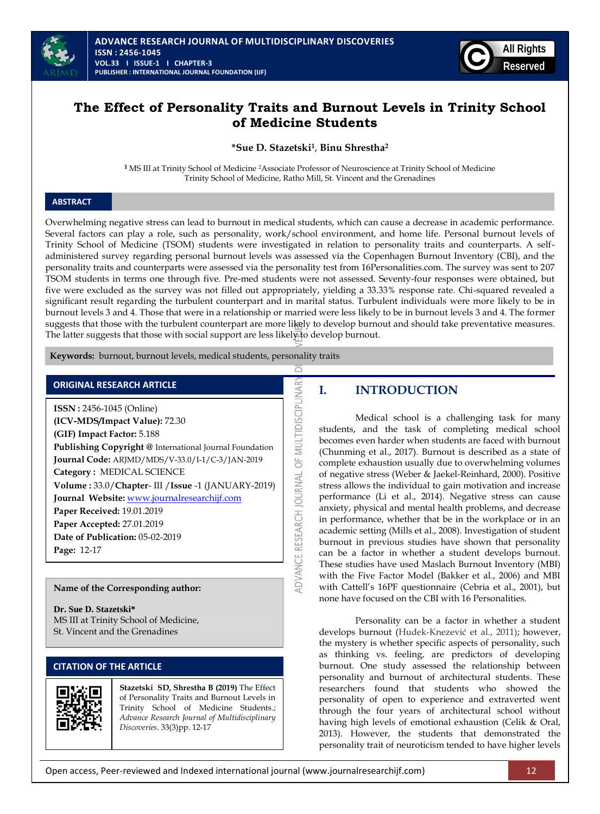



# **The Effect of Personality Traits and Burnout Levels in Trinity School of Medicine Students**

**\*Sue D. Stazetski<sup>1</sup>** , **Binu Shrestha<sup>2</sup>**

**1** MS III at Trinity School of Medicine <sup>2</sup>Associate Professor of Neuroscience at Trinity School of Medicine Trinity School of Medicine, Ratho Mill, St. Vincent and the Grenadines

## **ABSTRACT**

Overwhelming negative stress can lead to burnout in medical students, which can cause a decrease in academic performance. Several factors can play a role, such as personality, work/school environment, and home life. Personal burnout levels of Trinity School of Medicine (TSOM) students were investigated in relation to personality traits and counterparts. A selfadministered survey regarding personal burnout levels was assessed via the Copenhagen Burnout Inventory (CBI), and the personality traits and counterparts were assessed via the personality test from 16Personalities.com. The survey was sent to 207 TSOM students in terms one through five. Pre-med students were not assessed. Seventy-four responses were obtained, but five were excluded as the survey was not filled out appropriately, yielding a 33.33% response rate. Chi-squared revealed a significant result regarding the turbulent counterpart and in marital status. Turbulent individuals were more likely to be in burnout levels 3 and 4. Those that were in a relationship or married were less likely to be in burnout levels 3 and 4. The former suggests that those with the turbulent counterpart are more likely to develop burnout and should take preventative measures. The latter suggests that those with social support are less likely to develop burnout.

 $\supset$ 

ADVANCE RESEARCH JOURNAL OF MULTIDISCIPLINAR

 **Keywords:** burnout, burnout levels, medical students, personality traits

## **ORIGINAL RESEARCH ARTICLE**

**ISSN :** 2456-1045 (Online) **(ICV-MDS/Impact Value):** 72.30 **(GIF) Impact Factor:** 5.188 **Publishing Copyright @** International Journal Foundation **Journal Code:** ARJMD/MDS/V-33.0/I-1/C-3/JAN-2019 **Category :** MEDICAL SCIENCE **Volume :** 33.0/**Chapter**- III /**Issue** -1 (JANUARY-2019) **Journal Website:** [www.journalresearchijf.com](http://www.journalresearchijf.com/) **Paper Received:** 19.01.2019 **Paper Accepted:** 27.01.2019 **Date of Publication:** 05-02-2019 **Page:** 12-17

## **Name of the Corresponding author:**

**Dr. Sue D. Stazetski\*** MS III at Trinity School of Medicine, St. Vincent and the Grenadines

## **CITATION OF THE ARTICLE**



**Stazetski SD, Shrestha B (2019)** The Effect of Personality Traits and Burnout Levels in Trinity School of Medicine Students.; *Advance Research Journal of Multidisciplinary Discoveries*. 33(3)pp. 12-17

## **I. INTRODUCTION**

Medical school is a challenging task for many students, and the task of completing medical school becomes even harder when students are faced with burnout (Chunming et al., 2017). Burnout is described as a state of complete exhaustion usually due to overwhelming volumes of negative stress (Weber & Jaekel-Reinhard, 2000). Positive stress allows the individual to gain motivation and increase performance (Li et al., 2014). Negative stress can cause anxiety, physical and mental health problems, and decrease in performance, whether that be in the workplace or in an academic setting (Mills et al., 2008). Investigation of student burnout in previous studies have shown that personality can be a factor in whether a student develops burnout. These studies have used Maslach Burnout Inventory (MBI) with the Five Factor Model (Bakker et al., 2006) and MBI with Cattell's 16PF questionnaire (Cebria et al., 2001), but none have focused on the CBI with 16 Personalities.

Personality can be a factor in whether a student develops burnout (Hudek-Knezević et al., 2011); however, the mystery is whether specific aspects of personality, such as thinking vs. feeling, are predictors of developing burnout. One study assessed the relationship between personality and burnout of architectural students. These researchers found that students who showed the personality of open to experience and extraverted went through the four years of architectural school without having high levels of emotional exhaustion (Celik & Oral, 2013). However, the students that demonstrated the personality trait of neuroticism tended to have higher levels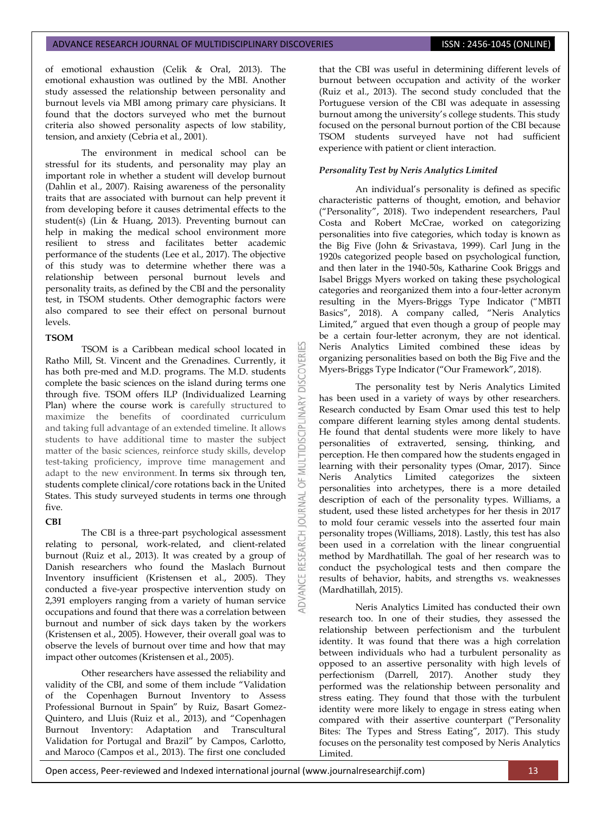of emotional exhaustion (Celik & Oral, 2013). The emotional exhaustion was outlined by the MBI. Another study assessed the relationship between personality and burnout levels via MBI among primary care physicians. It found that the doctors surveyed who met the burnout criteria also showed personality aspects of low stability, tension, and anxiety (Cebria et al., 2001).

The environment in medical school can be stressful for its students, and personality may play an important role in whether a student will develop burnout (Dahlin et al., 2007). Raising awareness of the personality traits that are associated with burnout can help prevent it from developing before it causes detrimental effects to the student(s) (Lin & Huang, 2013). Preventing burnout can help in making the medical school environment more resilient to stress and facilitates better academic performance of the students (Lee et al., 2017). The objective of this study was to determine whether there was a relationship between personal burnout levels and personality traits, as defined by the CBI and the personality test, in TSOM students. Other demographic factors were also compared to see their effect on personal burnout levels.

## **TSOM**

TSOM is a Caribbean medical school located in Ratho Mill, St. Vincent and the Grenadines. Currently, it has both pre-med and M.D. programs. The M.D. students complete the basic sciences on the island during terms one through five. TSOM offers ILP (Individualized Learning Plan) where the course work is carefully structured to maximize the benefits of coordinated curriculum and taking full advantage of an extended timeline. It allows students to have additional time to master the subject matter of the basic sciences, reinforce study skills, develop test-taking proficiency, improve time management and adapt to the new environment. In terms six through ten, students complete clinical/core rotations back in the United States. This study surveyed students in terms one through five.

**DISCOVERI** 

5 RNAL 5

### **CBI**

The CBI is a three-part psychological assessment relating to personal, work-related, and client-related burnout (Ruiz et al., 2013). It was created by a group of Danish researchers who found the Maslach Burnout Inventory insufficient (Kristensen et al., 2005). They conducted a five-year prospective intervention study on 2,391 employers ranging from a variety of human service occupations and found that there was a correlation between burnout and number of sick days taken by the workers (Kristensen et al., 2005). However, their overall goal was to observe the levels of burnout over time and how that may impact other outcomes (Kristensen et al., 2005).

Other researchers have assessed the reliability and validity of the CBI, and some of them include "Validation of the Copenhagen Burnout Inventory to Assess Professional Burnout in Spain" by Ruiz, Basart Gomez-Quintero, and Lluis (Ruiz et al., 2013), and "Copenhagen Burnout Inventory: Adaptation and Transcultural Validation for Portugal and Brazil" by Campos, Carlotto, and Maroco (Campos et al., 2013). The first one concluded

that the CBI was useful in determining different levels of burnout between occupation and activity of the worker (Ruiz et al., 2013). The second study concluded that the Portuguese version of the CBI was adequate in assessing burnout among the university's college students. This study focused on the personal burnout portion of the CBI because TSOM students surveyed have not had sufficient experience with patient or client interaction.

## *Personality Test by Neris Analytics Limited*

An individual's personality is defined as specific characteristic patterns of thought, emotion, and behavior ("Personality", 2018). Two independent researchers, Paul Costa and Robert McCrae, worked on categorizing personalities into five categories, which today is known as the Big Five (John & Srivastava, 1999). Carl Jung in the 1920s categorized people based on psychological function, and then later in the 1940-50s, Katharine Cook Briggs and Isabel Briggs Myers worked on taking these psychological categories and reorganized them into a four-letter acronym resulting in the Myers-Briggs Type Indicator ("MBTI Basics", 2018). A company called, "Neris Analytics Limited," argued that even though a group of people may be a certain four-letter acronym, they are not identical. Neris Analytics Limited combined these ideas by organizing personalities based on both the Big Five and the Myers-Briggs Type Indicator ("Our Framework", 2018).

The personality test by Neris Analytics Limited has been used in a variety of ways by other researchers. Research conducted by Esam Omar used this test to help compare different learning styles among dental students. He found that dental students were more likely to have personalities of extraverted, sensing, thinking, and perception. He then compared how the students engaged in learning with their personality types (Omar, 2017). Since Neris Analytics Limited categorizes the sixteen personalities into archetypes, there is a more detailed description of each of the personality types. Williams, a student, used these listed archetypes for her thesis in 2017 to mold four ceramic vessels into the asserted four main personality tropes (Williams, 2018). Lastly, this test has also been used in a correlation with the linear congruential method by Mardhatillah. The goal of her research was to conduct the psychological tests and then compare the results of behavior, habits, and strengths vs. weaknesses (Mardhatillah, 2015).

Neris Analytics Limited has conducted their own research too. In one of their studies, they assessed the relationship between perfectionism and the turbulent identity. It was found that there was a high correlation between individuals who had a turbulent personality as opposed to an assertive personality with high levels of perfectionism (Darrell, 2017). Another study they performed was the relationship between personality and stress eating. They found that those with the turbulent identity were more likely to engage in stress eating when compared with their assertive counterpart ("Personality Bites: The Types and Stress Eating", 2017). This study focuses on the personality test composed by Neris Analytics Limited.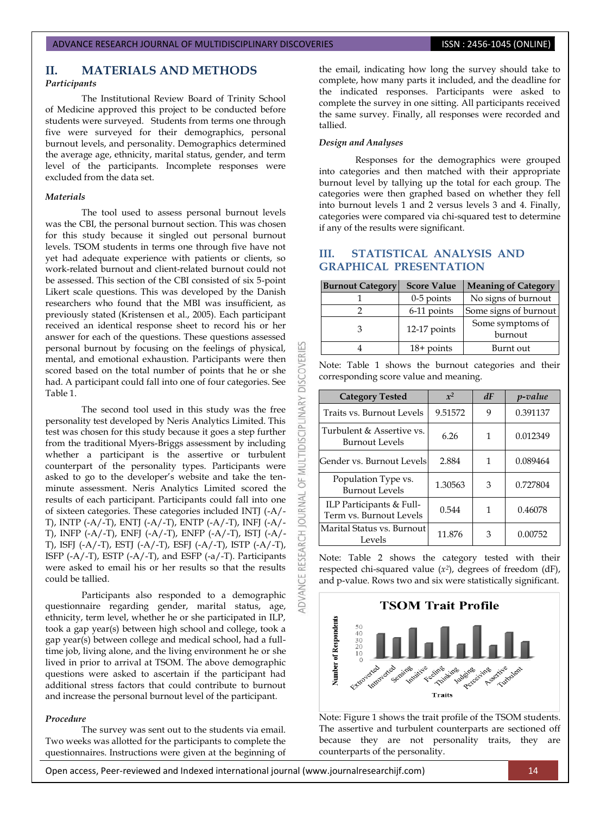## **II. MATERIALS AND METHODS**

### *Participants*

The Institutional Review Board of Trinity School of Medicine approved this project to be conducted before students were surveyed. Students from terms one through five were surveyed for their demographics, personal burnout levels, and personality. Demographics determined the average age, ethnicity, marital status, gender, and term level of the participants. Incomplete responses were excluded from the data set.

#### *Materials*

The tool used to assess personal burnout levels was the CBI, the personal burnout section. This was chosen for this study because it singled out personal burnout levels. TSOM students in terms one through five have not yet had adequate experience with patients or clients, so work-related burnout and client-related burnout could not be assessed. This section of the CBI consisted of six 5-point Likert scale questions. This was developed by the Danish researchers who found that the MBI was insufficient, as previously stated (Kristensen et al., 2005). Each participant received an identical response sheet to record his or her answer for each of the questions. These questions assessed personal burnout by focusing on the feelings of physical, mental, and emotional exhaustion. Participants were then scored based on the total number of points that he or she had. A participant could fall into one of four categories. See Table 1.

The second tool used in this study was the free personality test developed by Neris Analytics Limited. This test was chosen for this study because it goes a step further from the traditional Myers-Briggs assessment by including whether a participant is the assertive or turbulent counterpart of the personality types. Participants were asked to go to the developer's website and take the tenminute assessment. Neris Analytics Limited scored the results of each participant. Participants could fall into one of sixteen categories. These categories included INTJ (-A/- T), INTP (-A/-T), ENTJ (-A/-T), ENTP (-A/-T), INFJ (-A/- T), INFP (-A/-T), ENFJ (-A/-T), ENFP (-A/-T), ISTJ (-A/- T), ISFJ (-A/-T), ESTJ (-A/-T), ESFJ (-A/-T), ISTP (-A/-T), ISFP  $(-A/-T)$ , ESTP  $(-A/-T)$ , and ESFP  $(-a/-T)$ . Participants were asked to email his or her results so that the results could be tallied.

Participants also responded to a demographic questionnaire regarding gender, marital status, age, ethnicity, term level, whether he or she participated in ILP, took a gap year(s) between high school and college, took a gap year(s) between college and medical school, had a fulltime job, living alone, and the living environment he or she lived in prior to arrival at TSOM. The above demographic questions were asked to ascertain if the participant had additional stress factors that could contribute to burnout and increase the personal burnout level of the participant.

#### *Procedure*

The survey was sent out to the students via email. Two weeks was allotted for the participants to complete the questionnaires. Instructions were given at the beginning of

the email, indicating how long the survey should take to complete, how many parts it included, and the deadline for the indicated responses. Participants were asked to complete the survey in one sitting. All participants received the same survey. Finally, all responses were recorded and tallied.

#### *Design and Analyses*

**DISCOVERI** 

MULTIDISCIPLINARY

5

**JAN NOURNAL** 

RESEARCH

ADVANCE

Responses for the demographics were grouped into categories and then matched with their appropriate burnout level by tallying up the total for each group. The categories were then graphed based on whether they fell into burnout levels 1 and 2 versus levels 3 and 4. Finally, categories were compared via chi-squared test to determine if any of the results were significant.

# **III. STATISTICAL ANALYSIS AND GRAPHICAL PRESENTATION**

| <b>Burnout Category</b> | <b>Score Value</b> | <b>Meaning of Category</b>  |  |
|-------------------------|--------------------|-----------------------------|--|
|                         | $0-5$ points       | No signs of burnout         |  |
|                         | 6-11 points        | Some signs of burnout       |  |
| З                       | 12-17 points       | Some symptoms of<br>burnout |  |
|                         | $18+$ points       | Burnt out                   |  |

Note: Table 1 shows the burnout categories and their corresponding score value and meaning.

| <b>Category Tested</b>                              | $x^2$   | dF | <i>p</i> -value |
|-----------------------------------------------------|---------|----|-----------------|
| Traits vs. Burnout Levels                           | 9.51572 | 9  | 0.391137        |
| Turbulent & Assertive vs.<br>Burnout Levels         | 6.26    | 1  | 0.012349        |
| Gender vs. Burnout Levelsl                          | 2.884   | 1  | 0.089464        |
| Population Type vs.<br>Burnout Levels               | 1.30563 | 3  | 0.727804        |
| ILP Participants & Full-<br>Term vs. Burnout Levels | 0.544   | 1  | 0.46078         |
| Marital Status vs. Burnout<br>Levels                | 11.876  | 3  | 0.00752         |

Note: Table 2 shows the category tested with their respected chi-squared value  $(x^2)$ , degrees of freedom  $(dF)$ , and p-value. Rows two and six were statistically significant.



Note: Figure 1 shows the trait profile of the TSOM students. The assertive and turbulent counterparts are sectioned off because they are not personality traits, they are counterparts of the personality.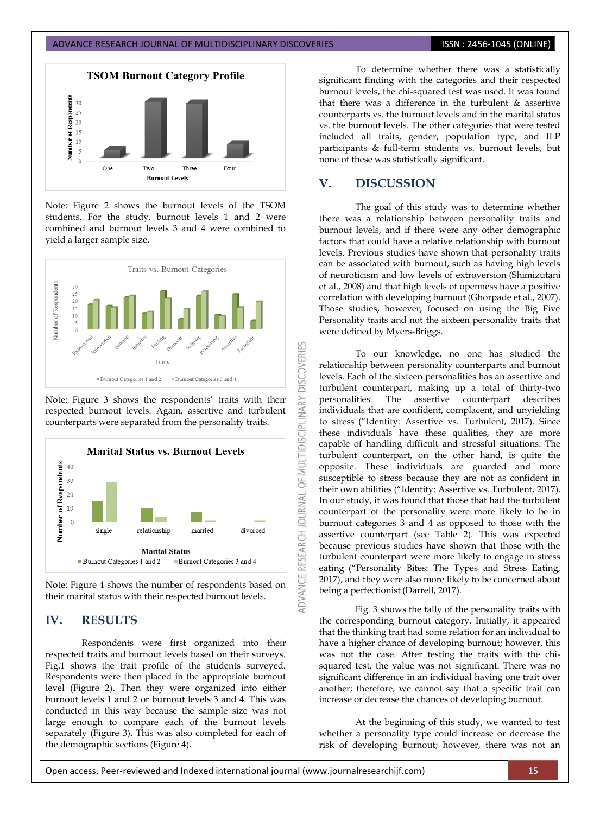

Note: Figure 2 shows the burnout levels of the TSOM students. For the study, burnout levels 1 and 2 were combined and burnout levels 3 and 4 were combined to yield a larger sample size.



Note: Figure 3 shows the respondents' traits with their respected burnout levels. Again, assertive and turbulent counterparts were separated from the personality traits.



Note: Figure 4 shows the number of respondents based on their marital status with their respected burnout levels.

# **IV. RESULTS**

Respondents were first organized into their respected traits and burnout levels based on their surveys. Fig.1 shows the trait profile of the students surveyed. Respondents were then placed in the appropriate burnout level (Figure 2). Then they were organized into either burnout levels 1 and 2 or burnout levels 3 and 4. This was conducted in this way because the sample size was not large enough to compare each of the burnout levels separately (Figure 3). This was also completed for each of the demographic sections (Figure 4).

To determine whether there was a statistically significant finding with the categories and their respected burnout levels, the chi-squared test was used. It was found that there was a difference in the turbulent & assertive counterparts vs. the burnout levels and in the marital status vs. the burnout levels. The other categories that were tested included all traits, gender, population type, and ILP participants & full-term students vs. burnout levels, but none of these was statistically significant.

# **V. DISCUSSION**

The goal of this study was to determine whether there was a relationship between personality traits and burnout levels, and if there were any other demographic factors that could have a relative relationship with burnout levels. Previous studies have shown that personality traits can be associated with burnout, such as having high levels of neuroticism and low levels of extroversion (Shimizutani et al., 2008) and that high levels of openness have a positive correlation with developing burnout (Ghorpade et al., 2007). Those studies, however, focused on using the Big Five Personality traits and not the sixteen personality traits that were defined by Myers-Briggs.

To our knowledge, no one has studied the relationship between personality counterparts and burnout levels. Each of the sixteen personalities has an assertive and turbulent counterpart, making up a total of thirty-two personalities. The assertive counterpart describes individuals that are confident, complacent, and unyielding to stress ("Identity: Assertive vs. Turbulent, 2017). Since these individuals have these qualities, they are more capable of handling difficult and stressful situations. The turbulent counterpart, on the other hand, is quite the opposite. These individuals are guarded and more susceptible to stress because they are not as confident in their own abilities ("Identity: Assertive vs. Turbulent, 2017). In our study, it was found that those that had the turbulent counterpart of the personality were more likely to be in burnout categories 3 and 4 as opposed to those with the assertive counterpart (see Table 2). This was expected because previous studies have shown that those with the turbulent counterpart were more likely to engage in stress eating ("Personality Bites: The Types and Stress Eating, 2017), and they were also more likely to be concerned about being a perfectionist (Darrell, 2017).

Fig. 3 shows the tally of the personality traits with the corresponding burnout category. Initially, it appeared that the thinking trait had some relation for an individual to have a higher chance of developing burnout; however, this was not the case. After testing the traits with the chisquared test, the value was not significant. There was no significant difference in an individual having one trait over another; therefore, we cannot say that a specific trait can increase or decrease the chances of developing burnout.

At the beginning of this study, we wanted to test whether a personality type could increase or decrease the risk of developing burnout; however, there was not an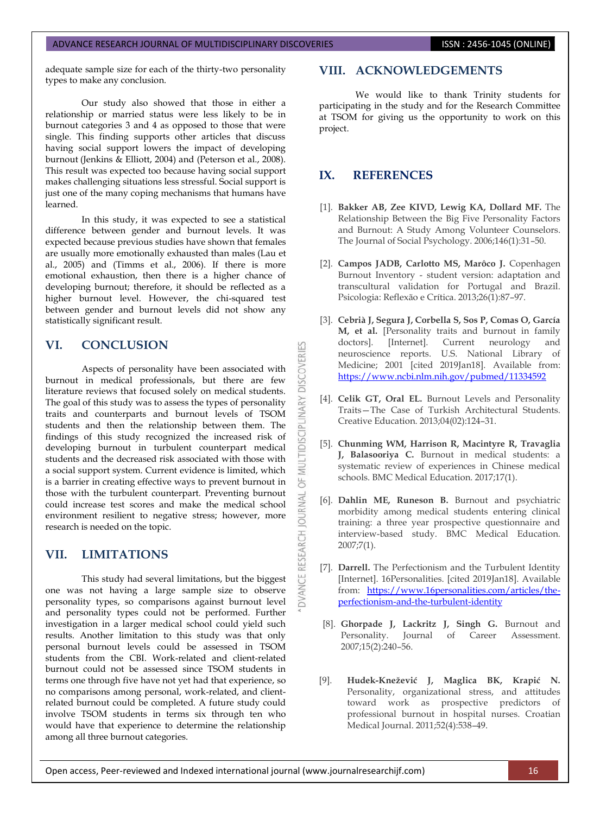# ADVANCE RESEARCH JOURNAL OF MULTIDISCIPLINARY DISCOVERIES **INC. AND SEARCH 1999** ISSN : 2456-1045 (ONLINE)

adequate sample size for each of the thirty-two personality types to make any conclusion.

Our study also showed that those in either a relationship or married status were less likely to be in burnout categories 3 and 4 as opposed to those that were single. This finding supports other articles that discuss having social support lowers the impact of developing burnout (Jenkins & Elliott, 2004) and (Peterson et al., 2008). This result was expected too because having social support makes challenging situations less stressful. Social support is just one of the many coping mechanisms that humans have learned.

In this study, it was expected to see a statistical difference between gender and burnout levels. It was expected because previous studies have shown that females are usually more emotionally exhausted than males (Lau et al., 2005) and (Timms et al., 2006). If there is more emotional exhaustion, then there is a higher chance of developing burnout; therefore, it should be reflected as a higher burnout level. However, the chi-squared test between gender and burnout levels did not show any statistically significant result.

# **VI. CONCLUSION**

Aspects of personality have been associated with burnout in medical professionals, but there are few literature reviews that focused solely on medical students. The goal of this study was to assess the types of personality traits and counterparts and burnout levels of TSOM students and then the relationship between them. The findings of this study recognized the increased risk of developing burnout in turbulent counterpart medical students and the decreased risk associated with those with a social support system. Current evidence is limited, which is a barrier in creating effective ways to prevent burnout in those with the turbulent counterpart. Preventing burnout could increase test scores and make the medical school environment resilient to negative stress; however, more research is needed on the topic.

# **VII. LIMITATIONS**

This study had several limitations, but the biggest one was not having a large sample size to observe personality types, so comparisons against burnout level and personality types could not be performed. Further investigation in a larger medical school could yield such results. Another limitation to this study was that only personal burnout levels could be assessed in TSOM students from the CBI. Work-related and client-related burnout could not be assessed since TSOM students in terms one through five have not yet had that experience, so no comparisons among personal, work-related, and clientrelated burnout could be completed. A future study could involve TSOM students in terms six through ten who would have that experience to determine the relationship among all three burnout categories.

## **VIII. ACKNOWLEDGEMENTS**

We would like to thank Trinity students for participating in the study and for the Research Committee at TSOM for giving us the opportunity to work on this project.

# **IX. REFERENCES**

53

**DISCOVERI** 

**IDISCIPLINARY** 

WU bF<sub>1</sub>

DVANCE RESEARCH JOURNAL

- [1]. **Bakker AB, Zee KIVD, Lewig KA, Dollard MF.** The Relationship Between the Big Five Personality Factors and Burnout: A Study Among Volunteer Counselors. The Journal of Social Psychology. 2006;146(1):31–50.
- [2]. **Campos JADB, Carlotto MS, Marôco J.** Copenhagen Burnout Inventory - student version: adaptation and transcultural validation for Portugal and Brazil. Psicologia: Reflexão e Crítica. 2013;26(1):87–97.
- [3]. **Cebrià J, Segura J, Corbella S, Sos P, Comas O, García M, et al.** [Personality traits and burnout in family doctors]. [Internet]. Current neurology and neuroscience reports. U.S. National Library of Medicine; 2001 [cited 2019Jan18]. Available from: <https://www.ncbi.nlm.nih.gov/pubmed/11334592>
- [4]. **Celik GT, Oral EL.** Burnout Levels and Personality Traits—The Case of Turkish Architectural Students. Creative Education. 2013;04(02):124–31.
- [5]. **Chunming WM, Harrison R, Macintyre R, Travaglia J, Balasooriya C.** Burnout in medical students: a systematic review of experiences in Chinese medical schools. BMC Medical Education. 2017;17(1).
- [6]. **Dahlin ME, Runeson B.** Burnout and psychiatric morbidity among medical students entering clinical training: a three year prospective questionnaire and interview-based study. BMC Medical Education. 2007;7(1).
- [7]. **Darrell.** The Perfectionism and the Turbulent Identity [Internet]. 16Personalities. [cited 2019Jan18]. Available from: [https://www.16personalities.com/articles/the](https://www.16personalities.com/articles/the-perfectionism-and-the-turbulent-identity)[perfectionism-and-the-turbulent-identity](https://www.16personalities.com/articles/the-perfectionism-and-the-turbulent-identity)
- [8]. **Ghorpade J, Lackritz J, Singh G.** Burnout and Personality. Journal of Career Assessment. 2007;15(2):240–56.
- [9]. **Hudek-Knežević J, Maglica BK, Krapić N.** Personality, organizational stress, and attitudes toward work as prospective predictors of professional burnout in hospital nurses. Croatian Medical Journal. 2011;52(4):538–49.